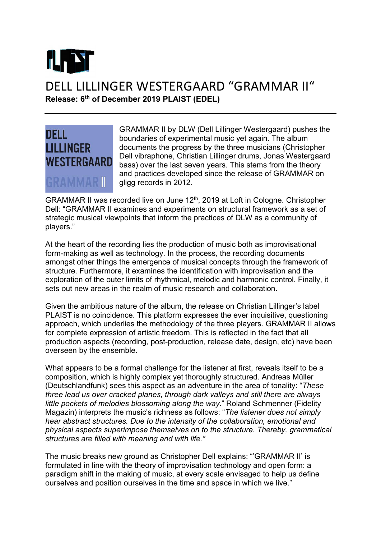

## DELL LILLINGER WESTERGAARD "GRAMMAR II" Release: 6<sup>th</sup> of December 2019 PLAIST (EDEL)



GRAMMAR II by DLW (Dell Lillinger Westergaard) pushes the boundaries of experimental music yet again. The album documents the progress by the three musicians (Christopher Dell vibraphone, Christian Lillinger drums, Jonas Westergaard bass) over the last seven years. This stems from the theory and practices developed since the release of GRAMMAR on gligg records in 2012.

GRAMMAR II was recorded live on June 12th, 2019 at Loft in Cologne. Christopher Dell: "GRAMMAR II examines and experiments on structural framework as a set of strategic musical viewpoints that inform the practices of DLW as a community of players."

At the heart of the recording lies the production of music both as improvisational form-making as well as technology. In the process, the recording documents amongst other things the emergence of musical concepts through the framework of structure. Furthermore, it examines the identification with improvisation and the exploration of the outer limits of rhythmical, melodic and harmonic control. Finally, it sets out new areas in the realm of music research and collaboration.

Given the ambitious nature of the album, the release on Christian Lillinger's label PLAIST is no coincidence. This platform expresses the ever inquisitive, questioning approach, which underlies the methodology of the three players. GRAMMAR II allows for complete expression of artistic freedom. This is reflected in the fact that all production aspects (recording, post-production, release date, design, etc) have been overseen by the ensemble.

What appears to be a formal challenge for the listener at first, reveals itself to be a composition, which is highly complex yet thoroughly structured. Andreas Müller (Deutschlandfunk) sees this aspect as an adventure in the area of tonality: "These three lead us over cracked planes, through dark valleys and still there are always little pockets of melodies blossoming along the way." Roland Schmenner (Fidelity Magazin) interprets the music's richness as follows: "The listener does not simply hear abstract structures. Due to the intensity of the collaboration, emotional and physical aspects superimpose themselves on to the structure. Thereby, grammatical structures are filled with meaning and with life."

The music breaks new ground as Christopher Dell explains: "'GRAMMAR II' is formulated in line with the theory of improvisation technology and open form: a paradigm shift in the making of music, at every scale envisaged to help us define ourselves and position ourselves in the time and space in which we live."